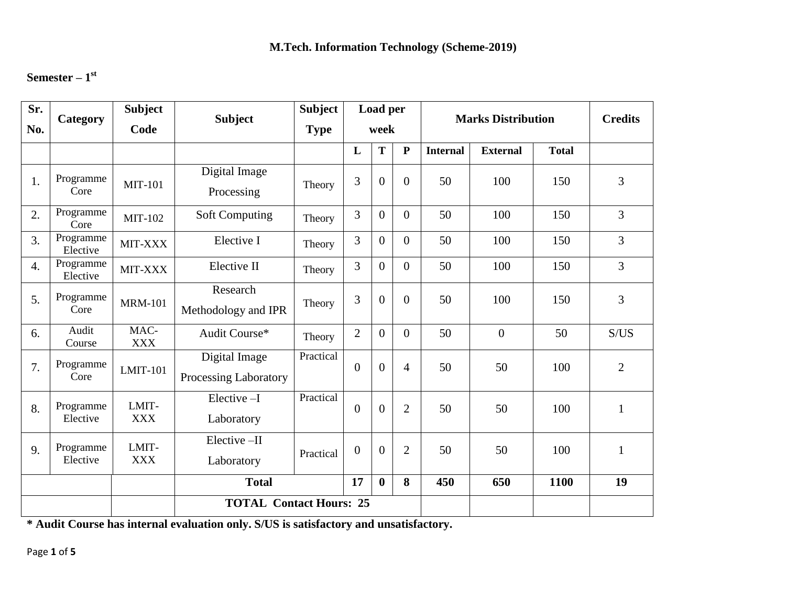## **Semester – 1 st**

| Sr.              | Category              | <b>Subject</b>      | <b>Subject</b>                         | <b>Subject</b> | Load per       |                |                | <b>Marks Distribution</b> | <b>Credits</b>  |              |                |
|------------------|-----------------------|---------------------|----------------------------------------|----------------|----------------|----------------|----------------|---------------------------|-----------------|--------------|----------------|
| No.              |                       | Code                |                                        | <b>Type</b>    |                | week           |                |                           |                 |              |                |
|                  |                       |                     |                                        |                | L              | T              | $\mathbf{P}$   | <b>Internal</b>           | <b>External</b> | <b>Total</b> |                |
| 1.               | Programme<br>Core     | <b>MIT-101</b>      | Digital Image<br>Processing            | Theory         | 3              | $\overline{0}$ | $\overline{0}$ | 50                        | 100             | 150          | 3              |
| 2.               | Programme<br>Core     | <b>MIT-102</b>      | <b>Soft Computing</b>                  | Theory         | 3              | $\overline{0}$ | $\overline{0}$ | 50                        | 100             | 150          | 3              |
| 3.               | Programme<br>Elective | MIT-XXX             | Elective I                             | Theory         | 3              | $\overline{0}$ | $\overline{0}$ | 50                        | 100             | 150          | $\overline{3}$ |
| $\overline{4}$ . | Programme<br>Elective | MIT-XXX             | Elective II                            | Theory         | 3              | $\overline{0}$ | $\theta$       | 50                        | 100             | 150          | $\overline{3}$ |
| 5.               | Programme<br>Core     | <b>MRM-101</b>      | Research<br>Methodology and IPR        | Theory         | 3              | $\overline{0}$ | $\overline{0}$ | 50                        | 100             | 150          | 3              |
| 6.               | Audit<br>Course       | MAC-<br><b>XXX</b>  | Audit Course*                          | Theory         | $\overline{2}$ | $\overline{0}$ | $\overline{0}$ | 50                        | $\mathbf{0}$    | 50           | S/US           |
| 7.               | Programme<br>Core     | <b>LMIT-101</b>     | Digital Image<br>Processing Laboratory | Practical      | $\overline{0}$ | $\overline{0}$ | $\overline{4}$ | 50                        | 50              | 100          | $\overline{2}$ |
| 8.               | Programme<br>Elective | LMIT-<br><b>XXX</b> | $Elective-I$<br>Laboratory             | Practical      | $\theta$       | $\overline{0}$ | $\overline{2}$ | 50                        | 50              | 100          | $\mathbf{1}$   |
| 9.               | Programme<br>Elective | LMIT-<br><b>XXX</b> | Elective-II<br>Laboratory              | Practical      | $\mathbf{0}$   | $\mathbf{0}$   | $\overline{2}$ | 50                        | 50              | 100          | $\mathbf{1}$   |
|                  |                       |                     | <b>Total</b><br>17<br>8<br>$\bf{0}$    |                |                |                |                | 450                       | 650             | 1100         | 19             |
|                  |                       |                     | <b>TOTAL Contact Hours: 25</b>         |                |                |                |                |                           |                 |              |                |

**\* Audit Course has internal evaluation only. S/US is satisfactory and unsatisfactory.**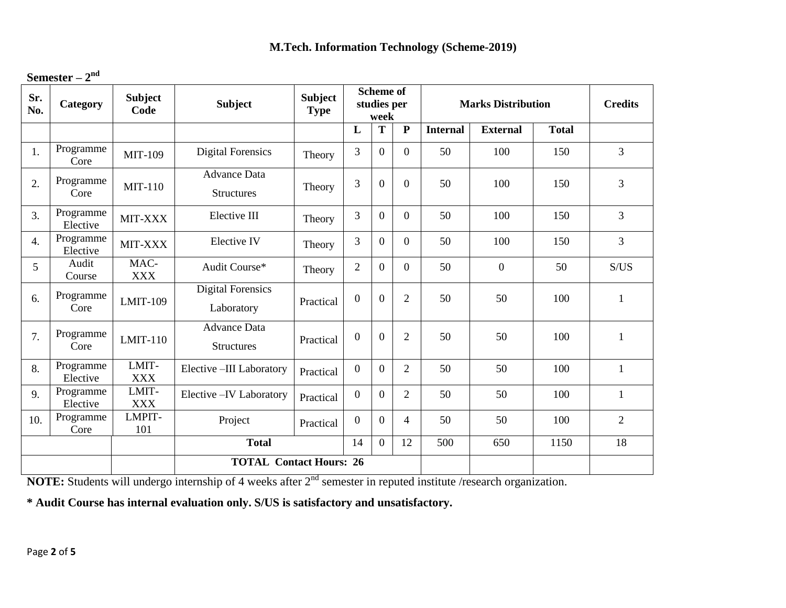| Semester – $2nd$ |  |
|------------------|--|
|------------------|--|

| Sr.<br>No.       | Category              | <b>Subject</b><br>Code | <b>Subject</b>                           | <b>Subject</b><br><b>Type</b> |                  | <b>Scheme of</b><br>studies per<br>week |                | <b>Marks Distribution</b> |                 | <b>Credits</b> |                |
|------------------|-----------------------|------------------------|------------------------------------------|-------------------------------|------------------|-----------------------------------------|----------------|---------------------------|-----------------|----------------|----------------|
|                  |                       |                        |                                          |                               | L                | T                                       | ${\bf P}$      | <b>Internal</b>           | <b>External</b> | <b>Total</b>   |                |
| 1.               | Programme<br>Core     | <b>MIT-109</b>         | <b>Digital Forensics</b>                 | Theory                        | 3                | $\Omega$                                | $\Omega$       | 50                        | 100             | 150            | $\overline{3}$ |
| 2.               | Programme<br>Core     | <b>MIT-110</b>         | <b>Advance Data</b><br><b>Structures</b> | Theory                        | 3                | $\Omega$                                | $\overline{0}$ | 50                        | 100             | 150            | $\overline{3}$ |
| 3.               | Programme<br>Elective | MIT-XXX                | Elective III                             | Theory                        | 3                | $\Omega$                                | $\overline{0}$ | 50                        | 100             | 150            | $\overline{3}$ |
| $\overline{4}$ . | Programme<br>Elective | MIT-XXX                | Elective IV                              | Theory                        | $\overline{3}$   | $\overline{0}$                          | $\overline{0}$ | 50                        | 100             | 150            | $\overline{3}$ |
| 5                | Audit<br>Course       | MAC-<br><b>XXX</b>     | Audit Course*                            | Theory                        | $\mathbf{2}$     | $\Omega$                                | $\Omega$       | 50                        | $\overline{0}$  | 50             | S/US           |
| 6.               | Programme<br>Core     | <b>LMIT-109</b>        | <b>Digital Forensics</b><br>Laboratory   | Practical                     | $\overline{0}$   | $\Omega$                                | $\overline{2}$ | 50                        | 50              | 100            | 1              |
| 7.               | Programme<br>Core     | $LMIT-110$             | <b>Advance Data</b><br><b>Structures</b> | Practical                     | $\theta$         | $\Omega$                                | $\overline{2}$ | 50                        | 50              | 100            | 1              |
| 8.               | Programme<br>Elective | LMIT-<br><b>XXX</b>    | Elective -III Laboratory                 | Practical                     | $\overline{0}$   | $\Omega$                                | $\overline{2}$ | 50                        | 50              | 100            | $\mathbf{1}$   |
| 9.               | Programme<br>Elective | LMIT-<br><b>XXX</b>    | Elective - IV Laboratory                 | Practical                     | $\overline{0}$   | $\Omega$                                | $\overline{2}$ | 50                        | 50              | 100            | $\mathbf{1}$   |
| 10.              | Programme<br>Core     | LMPIT-<br>101          | Project                                  | Practical                     | $\boldsymbol{0}$ | $\overline{0}$                          | 4              | 50                        | 50              | 100            | $\overline{2}$ |
|                  |                       |                        | 12<br><b>Total</b><br>14<br>$\Omega$     |                               |                  |                                         |                | 500                       | 650             | 1150           | 18             |
|                  |                       |                        | <b>TOTAL Contact Hours: 26</b>           |                               |                  |                                         |                |                           |                 |                |                |

**NOTE:** Students will undergo internship of 4 weeks after 2<sup>nd</sup> semester in reputed institute /research organization.

**\* Audit Course has internal evaluation only. S/US is satisfactory and unsatisfactory.**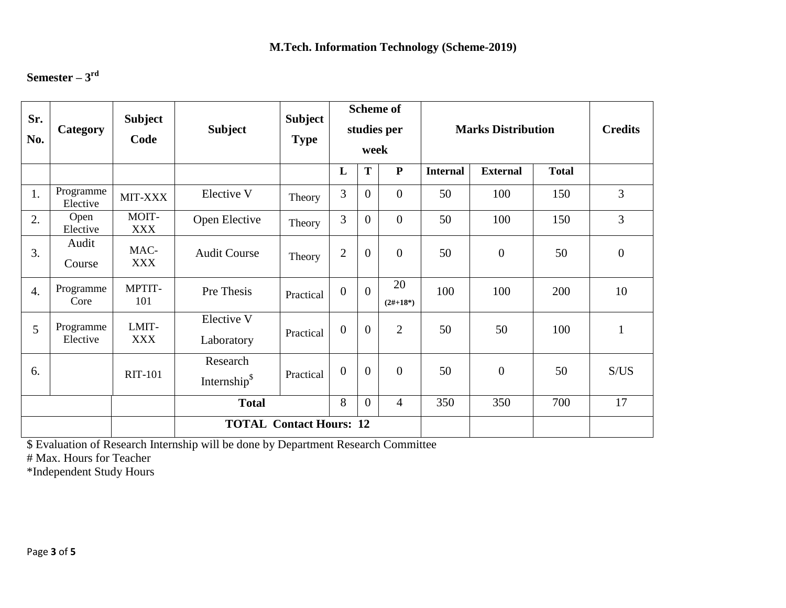# **Semester – 3 rd**

| Sr.<br>No.                     | Category                                        | <b>Subject</b><br>Code | <b>Subject</b>                      | <b>Subject</b><br><b>Type</b> | <b>Scheme of</b><br>studies per<br>week |                  |                  | <b>Marks Distribution</b> | <b>Credits</b>  |              |                |
|--------------------------------|-------------------------------------------------|------------------------|-------------------------------------|-------------------------------|-----------------------------------------|------------------|------------------|---------------------------|-----------------|--------------|----------------|
|                                |                                                 |                        |                                     |                               | L                                       | T                | ${\bf P}$        | <b>Internal</b>           | <b>External</b> | <b>Total</b> |                |
| 1.                             | Programme<br>Elective                           | MIT-XXX                | Elective V                          | Theory                        | 3                                       | $\theta$         | $\mathbf{0}$     | 50                        | 100             | 150          | $\overline{3}$ |
| 2.                             | Open<br>Elective                                | MOIT-<br><b>XXX</b>    | Open Elective                       | Theory                        | 3                                       | $\overline{0}$   | $\theta$         | 50                        | 100             | 150          | $\overline{3}$ |
| 3.                             | Audit<br>Course                                 | MAC-<br>XXX            | <b>Audit Course</b>                 | Theory                        | $\overline{2}$                          | $\boldsymbol{0}$ | $\theta$         | 50                        | $\mathbf{0}$    | 50           | $\overline{0}$ |
| $\overline{4}$ .               | Programme<br>Core                               | MPTIT-<br>101          | Pre Thesis                          | Practical                     | $\overline{0}$                          | $\Omega$         | 20<br>$(2#+18*)$ | 100                       | 100             | 200          | 10             |
| 5 <sup>5</sup>                 | Programme<br>Elective                           | LMIT-<br><b>XXX</b>    | Elective V<br>Laboratory            | Practical                     | $\overline{0}$                          | $\overline{0}$   | $\overline{2}$   | 50                        | 50              | 100          |                |
| 6.                             |                                                 | <b>RIT-101</b>         | Research<br>Internship <sup>§</sup> | Practical                     | $\overline{0}$                          | $\overline{0}$   | $\overline{0}$   | 50                        | $\mathbf{0}$    | 50           | S/US           |
|                                | 8<br>$\theta$<br><b>Total</b><br>$\overline{4}$ |                        |                                     |                               |                                         |                  |                  | 350                       | 350             | 700          | 17             |
| <b>TOTAL Contact Hours: 12</b> |                                                 |                        |                                     |                               |                                         |                  |                  |                           |                 |              |                |

\$ Evaluation of Research Internship will be done by Department Research Committee

# Max. Hours for Teacher

\*Independent Study Hours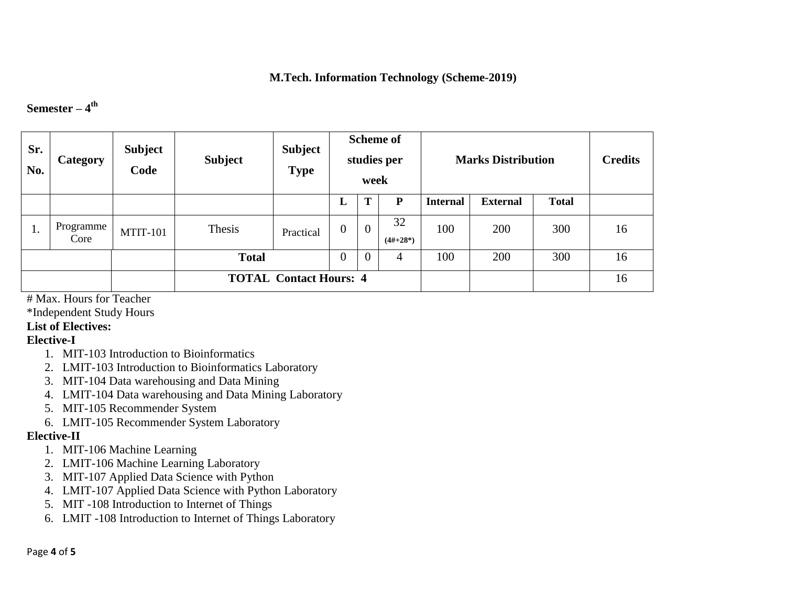### **Semester – 4 th**

| Sr.<br>No.                    | <b>Category</b>   | <b>Subject</b><br>Code | <b>Subject</b> | <b>Subject</b><br><b>Type</b> | <b>Scheme of</b><br>studies per<br>week |                |                  | <b>Marks Distribution</b> | <b>Credits</b>  |              |    |
|-------------------------------|-------------------|------------------------|----------------|-------------------------------|-----------------------------------------|----------------|------------------|---------------------------|-----------------|--------------|----|
|                               |                   |                        |                |                               | ப                                       | m              | P                | <b>Internal</b>           | <b>External</b> | <b>Total</b> |    |
| 1.                            | Programme<br>Core | $MTIT-101$             | Thesis         | Practical                     | $\overline{0}$                          | $\overline{0}$ | 32<br>$(4#+28*)$ | 100                       | 200             | 300          | 16 |
|                               |                   |                        | <b>Total</b>   |                               | $\boldsymbol{0}$                        | $\theta$       | 4                | 100                       | 200             | 300          | 16 |
| <b>TOTAL Contact Hours: 4</b> |                   |                        |                |                               |                                         |                |                  |                           | 16              |              |    |

# Max. Hours for Teacher

\*Independent Study Hours

### **List of Electives:**

#### **Elective-I**

- 1. MIT-103 Introduction to Bioinformatics
- 2. LMIT-103 Introduction to Bioinformatics Laboratory
- 3. MIT-104 Data warehousing and Data Mining
- 4. LMIT-104 Data warehousing and Data Mining Laboratory
- 5. MIT-105 Recommender System
- 6. LMIT-105 Recommender System Laboratory

## **Elective-II**

- 1. MIT-106 Machine Learning
- 2. LMIT-106 Machine Learning Laboratory
- 3. MIT-107 Applied Data Science with Python
- 4. LMIT-107 Applied Data Science with Python Laboratory
- 5. MIT -108 Introduction to Internet of Things
- 6. LMIT -108 Introduction to Internet of Things Laboratory